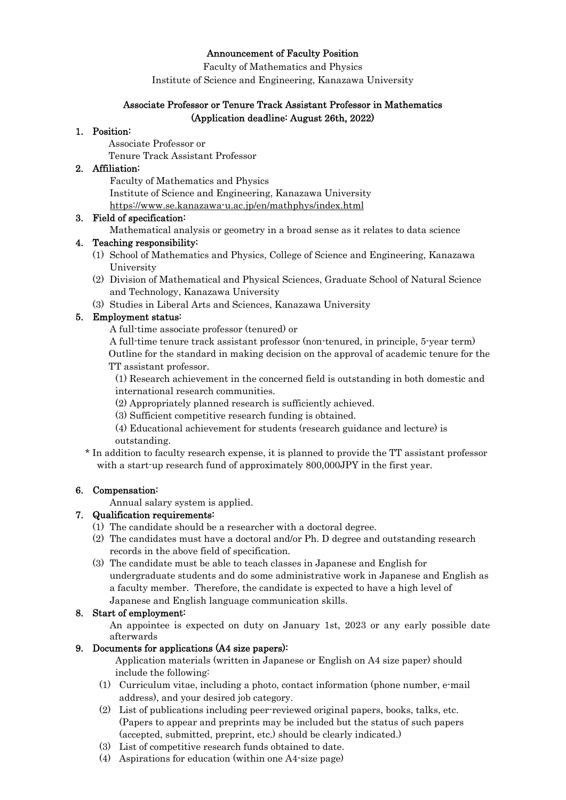### Announcement of Faculty Position

Faculty of Mathematics and Physics

Institute of Science and Engineering, Kanazawa University

### Associate Professor or Tenure Track Assistant Professor in Mathematics (Application deadline: August 26th, 2022)

### 1. Position:

Associate Professor or

Tenure Track Assistant Professor

### 2. Affiliation:

Faculty of Mathematics and Physics Institute of Science and Engineering, Kanazawa University https://www.se.kanazawa-u.ac.jp/en/mathphys/index.html

## 3. Field of specification:

Mathematical analysis or geometry in a broad sense as it relates to data science

## 4. Teaching responsibility:

- (1) School of Mathematics and Physics, College of Science and Engineering, Kanazawa University
- (2) Division of Mathematical and Physical Sciences, Graduate School of Natural Science and Technology, Kanazawa University
- (3) Studies in Liberal Arts and Sciences, Kanazawa University

# 5. Employment status:

A full-time associate professor (tenured) or

A full-time tenure track assistant professor (non-tenured, in principle, 5-year term) Outline for the standard in making decision on the approval of academic tenure for the TT assistant professor.

(1) Research achievement in the concerned field is outstanding in both domestic and international research communities.

- (2) Appropriately planned research is sufficiently achieved.
- (3) Sufficient competitive research funding is obtained.
- (4) Educational achievement for students (research guidance and lecture) is outstanding.
- \* In addition to faculty research expense, it is planned to provide the TT assistant professor with a start-up research fund of approximately 800,000 JPY in the first year.

# 6. Compensation:

Annual salary system is applied.

# 7. Qualification requirements:

- (1) The candidate should be a researcher with a doctoral degree.
- (2) The candidates must have a doctoral and/or Ph. D degree and outstanding research records in the above field of specification.
- (3) The candidate must be able to teach classes in Japanese and English for undergraduate students and do some administrative work in Japanese and English as a faculty member. Therefore, the candidate is expected to have a high level of Japanese and English language communication skills.

# 8. Start of employment:

An appointee is expected on duty on January 1st, 2023 or any early possible date afterwards

# 9. Documents for applications (A4 size papers):

Application materials (written in Japanese or English on A4 size paper) should include the following:

- (1) Curriculum vitae, including a photo, contact information (phone number, e-mail address), and your desired job category.
- (2) List of publications including peer-reviewed original papers, books, talks, etc. (Papers to appear and preprints may be included but the status of such papers (accepted, submitted, preprint, etc.) should be clearly indicated.)
- (3) List of competitive research funds obtained to date.
- (4) Aspirations for education (within one A4-size page)